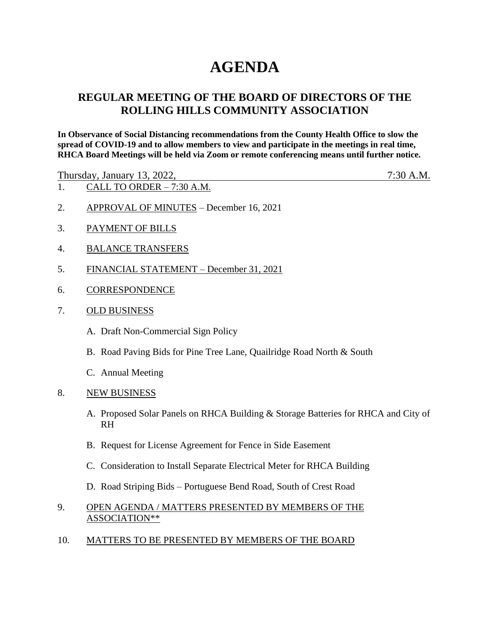# **AGENDA**

## **REGULAR MEETING OF THE BOARD OF DIRECTORS OF THE ROLLING HILLS COMMUNITY ASSOCIATION**

**In Observance of Social Distancing recommendations from the County Health Office to slow the spread of COVID-19 and to allow members to view and participate in the meetings in real time, RHCA Board Meetings will be held via Zoom or remote conferencing means until further notice.** 

Thursday, January 13, 2022, 7:30 A.M.

- 1. CALL TO ORDER 7:30 A.M.
- 2. APPROVAL OF MINUTES December 16, 2021
- 3. PAYMENT OF BILLS
- 4. BALANCE TRANSFERS
- 5. FINANCIAL STATEMENT December 31, 2021
- 6. CORRESPONDENCE
- 7. OLD BUSINESS
	- A. Draft Non-Commercial Sign Policy
	- B. Road Paving Bids for Pine Tree Lane, Quailridge Road North & South
	- C. Annual Meeting
- 8. NEW BUSINESS
	- A. Proposed Solar Panels on RHCA Building & Storage Batteries for RHCA and City of RH
	- B. Request for License Agreement for Fence in Side Easement
	- C. Consideration to Install Separate Electrical Meter for RHCA Building
	- D. Road Striping Bids Portuguese Bend Road, South of Crest Road
- 9. OPEN AGENDA / MATTERS PRESENTED BY MEMBERS OF THE ASSOCIATION\*\*
- 10. MATTERS TO BE PRESENTED BY MEMBERS OF THE BOARD